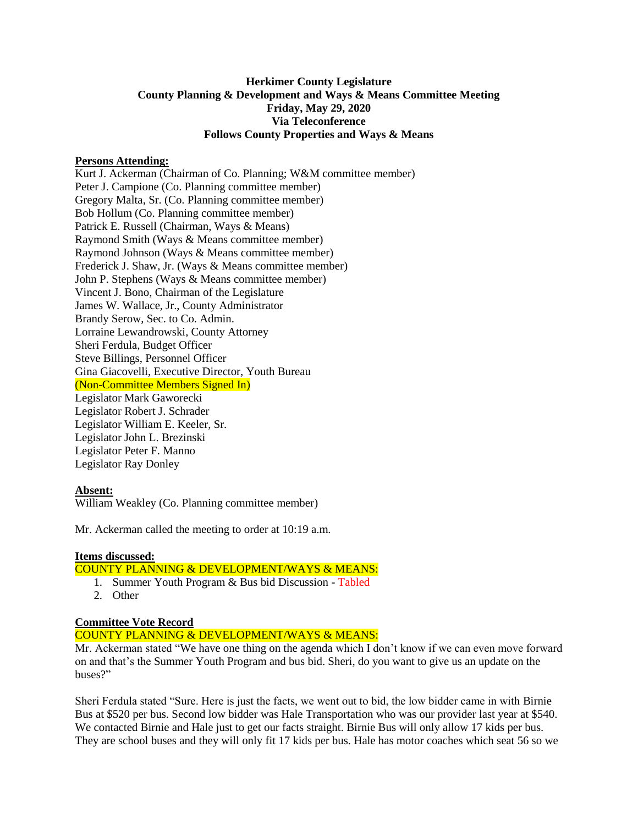# **Herkimer County Legislature County Planning & Development and Ways & Means Committee Meeting Friday, May 29, 2020 Via Teleconference Follows County Properties and Ways & Means**

### **Persons Attending:**

Kurt J. Ackerman (Chairman of Co. Planning; W&M committee member) Peter J. Campione (Co. Planning committee member) Gregory Malta, Sr. (Co. Planning committee member) Bob Hollum (Co. Planning committee member) Patrick E. Russell (Chairman, Ways & Means) Raymond Smith (Ways & Means committee member) Raymond Johnson (Ways & Means committee member) Frederick J. Shaw, Jr. (Ways & Means committee member) John P. Stephens (Ways & Means committee member) Vincent J. Bono, Chairman of the Legislature James W. Wallace, Jr., County Administrator Brandy Serow, Sec. to Co. Admin. Lorraine Lewandrowski, County Attorney Sheri Ferdula, Budget Officer Steve Billings, Personnel Officer Gina Giacovelli, Executive Director, Youth Bureau (Non-Committee Members Signed In) Legislator Mark Gaworecki Legislator Robert J. Schrader Legislator William E. Keeler, Sr. Legislator John L. Brezinski Legislator Peter F. Manno Legislator Ray Donley

### **Absent:**

William Weakley (Co. Planning committee member)

Mr. Ackerman called the meeting to order at 10:19 a.m.

### **Items discussed:**

# COUNTY PLANNING & DEVELOPMENT/WAYS & MEANS:

- 1. Summer Youth Program & Bus bid Discussion Tabled
- 2. Other

### **Committee Vote Record**

### COUNTY PLANNING & DEVELOPMENT/WAYS & MEANS:

Mr. Ackerman stated "We have one thing on the agenda which I don't know if we can even move forward on and that's the Summer Youth Program and bus bid. Sheri, do you want to give us an update on the buses?"

Sheri Ferdula stated "Sure. Here is just the facts, we went out to bid, the low bidder came in with Birnie Bus at \$520 per bus. Second low bidder was Hale Transportation who was our provider last year at \$540. We contacted Birnie and Hale just to get our facts straight. Birnie Bus will only allow 17 kids per bus. They are school buses and they will only fit 17 kids per bus. Hale has motor coaches which seat 56 so we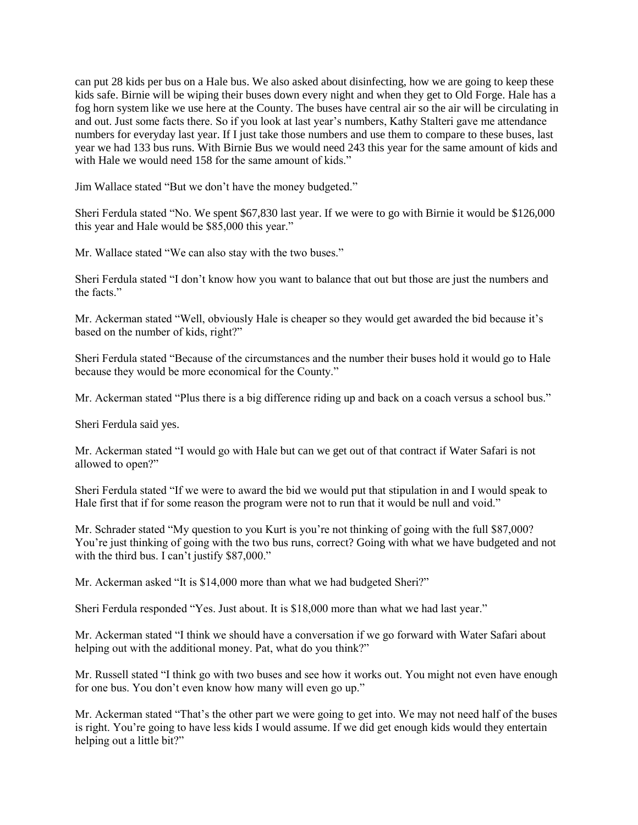can put 28 kids per bus on a Hale bus. We also asked about disinfecting, how we are going to keep these kids safe. Birnie will be wiping their buses down every night and when they get to Old Forge. Hale has a fog horn system like we use here at the County. The buses have central air so the air will be circulating in and out. Just some facts there. So if you look at last year's numbers, Kathy Stalteri gave me attendance numbers for everyday last year. If I just take those numbers and use them to compare to these buses, last year we had 133 bus runs. With Birnie Bus we would need 243 this year for the same amount of kids and with Hale we would need 158 for the same amount of kids."

Jim Wallace stated "But we don't have the money budgeted."

Sheri Ferdula stated "No. We spent \$67,830 last year. If we were to go with Birnie it would be \$126,000 this year and Hale would be \$85,000 this year."

Mr. Wallace stated "We can also stay with the two buses."

Sheri Ferdula stated "I don't know how you want to balance that out but those are just the numbers and the facts."

Mr. Ackerman stated "Well, obviously Hale is cheaper so they would get awarded the bid because it's based on the number of kids, right?"

Sheri Ferdula stated "Because of the circumstances and the number their buses hold it would go to Hale because they would be more economical for the County."

Mr. Ackerman stated "Plus there is a big difference riding up and back on a coach versus a school bus."

Sheri Ferdula said yes.

Mr. Ackerman stated "I would go with Hale but can we get out of that contract if Water Safari is not allowed to open?"

Sheri Ferdula stated "If we were to award the bid we would put that stipulation in and I would speak to Hale first that if for some reason the program were not to run that it would be null and void."

Mr. Schrader stated "My question to you Kurt is you're not thinking of going with the full \$87,000? You're just thinking of going with the two bus runs, correct? Going with what we have budgeted and not with the third bus. I can't justify \$87,000."

Mr. Ackerman asked "It is \$14,000 more than what we had budgeted Sheri?"

Sheri Ferdula responded "Yes. Just about. It is \$18,000 more than what we had last year."

Mr. Ackerman stated "I think we should have a conversation if we go forward with Water Safari about helping out with the additional money. Pat, what do you think?"

Mr. Russell stated "I think go with two buses and see how it works out. You might not even have enough for one bus. You don't even know how many will even go up."

Mr. Ackerman stated "That's the other part we were going to get into. We may not need half of the buses is right. You're going to have less kids I would assume. If we did get enough kids would they entertain helping out a little bit?"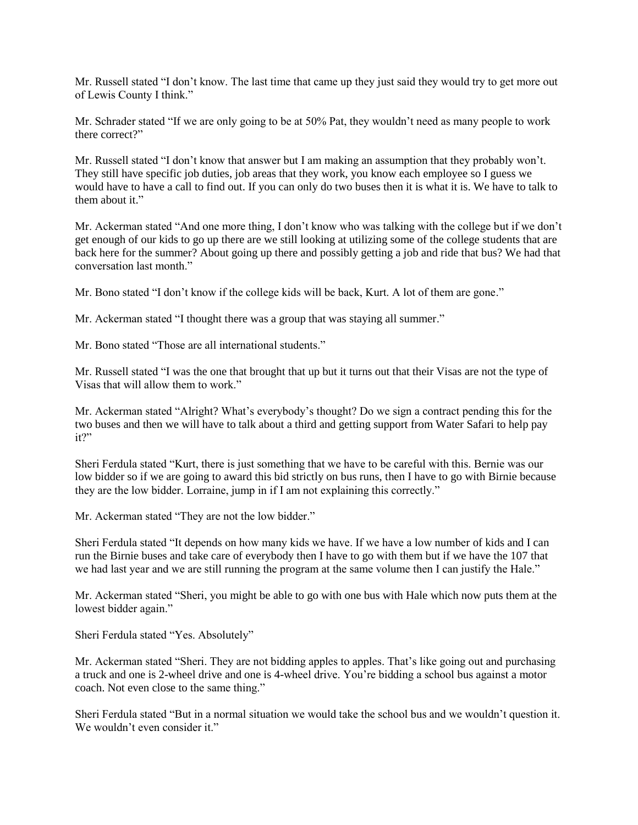Mr. Russell stated "I don't know. The last time that came up they just said they would try to get more out of Lewis County I think."

Mr. Schrader stated "If we are only going to be at 50% Pat, they wouldn't need as many people to work there correct?"

Mr. Russell stated "I don't know that answer but I am making an assumption that they probably won't. They still have specific job duties, job areas that they work, you know each employee so I guess we would have to have a call to find out. If you can only do two buses then it is what it is. We have to talk to them about it."

Mr. Ackerman stated "And one more thing, I don't know who was talking with the college but if we don't get enough of our kids to go up there are we still looking at utilizing some of the college students that are back here for the summer? About going up there and possibly getting a job and ride that bus? We had that conversation last month."

Mr. Bono stated "I don't know if the college kids will be back, Kurt. A lot of them are gone."

Mr. Ackerman stated "I thought there was a group that was staying all summer."

Mr. Bono stated "Those are all international students."

Mr. Russell stated "I was the one that brought that up but it turns out that their Visas are not the type of Visas that will allow them to work."

Mr. Ackerman stated "Alright? What's everybody's thought? Do we sign a contract pending this for the two buses and then we will have to talk about a third and getting support from Water Safari to help pay it?"

Sheri Ferdula stated "Kurt, there is just something that we have to be careful with this. Bernie was our low bidder so if we are going to award this bid strictly on bus runs, then I have to go with Birnie because they are the low bidder. Lorraine, jump in if I am not explaining this correctly."

Mr. Ackerman stated "They are not the low bidder."

Sheri Ferdula stated "It depends on how many kids we have. If we have a low number of kids and I can run the Birnie buses and take care of everybody then I have to go with them but if we have the 107 that we had last year and we are still running the program at the same volume then I can justify the Hale."

Mr. Ackerman stated "Sheri, you might be able to go with one bus with Hale which now puts them at the lowest bidder again."

Sheri Ferdula stated "Yes. Absolutely"

Mr. Ackerman stated "Sheri. They are not bidding apples to apples. That's like going out and purchasing a truck and one is 2-wheel drive and one is 4-wheel drive. You're bidding a school bus against a motor coach. Not even close to the same thing."

Sheri Ferdula stated "But in a normal situation we would take the school bus and we wouldn't question it. We wouldn't even consider it."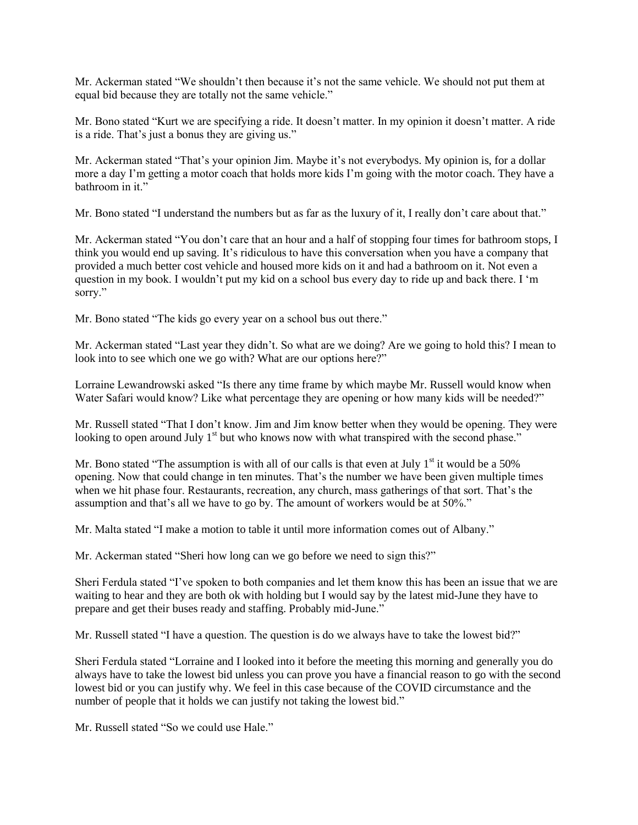Mr. Ackerman stated "We shouldn't then because it's not the same vehicle. We should not put them at equal bid because they are totally not the same vehicle."

Mr. Bono stated "Kurt we are specifying a ride. It doesn't matter. In my opinion it doesn't matter. A ride is a ride. That's just a bonus they are giving us."

Mr. Ackerman stated "That's your opinion Jim. Maybe it's not everybodys. My opinion is, for a dollar more a day I'm getting a motor coach that holds more kids I'm going with the motor coach. They have a bathroom in it."

Mr. Bono stated "I understand the numbers but as far as the luxury of it, I really don't care about that."

Mr. Ackerman stated "You don't care that an hour and a half of stopping four times for bathroom stops, I think you would end up saving. It's ridiculous to have this conversation when you have a company that provided a much better cost vehicle and housed more kids on it and had a bathroom on it. Not even a question in my book. I wouldn't put my kid on a school bus every day to ride up and back there. I 'm sorry."

Mr. Bono stated "The kids go every year on a school bus out there."

Mr. Ackerman stated "Last year they didn't. So what are we doing? Are we going to hold this? I mean to look into to see which one we go with? What are our options here?"

Lorraine Lewandrowski asked "Is there any time frame by which maybe Mr. Russell would know when Water Safari would know? Like what percentage they are opening or how many kids will be needed?"

Mr. Russell stated "That I don't know. Jim and Jim know better when they would be opening. They were looking to open around July  $1<sup>st</sup>$  but who knows now with what transpired with the second phase."

Mr. Bono stated "The assumption is with all of our calls is that even at July  $1<sup>st</sup>$  it would be a 50% opening. Now that could change in ten minutes. That's the number we have been given multiple times when we hit phase four. Restaurants, recreation, any church, mass gatherings of that sort. That's the assumption and that's all we have to go by. The amount of workers would be at 50%."

Mr. Malta stated "I make a motion to table it until more information comes out of Albany."

Mr. Ackerman stated "Sheri how long can we go before we need to sign this?"

Sheri Ferdula stated "I've spoken to both companies and let them know this has been an issue that we are waiting to hear and they are both ok with holding but I would say by the latest mid-June they have to prepare and get their buses ready and staffing. Probably mid-June."

Mr. Russell stated "I have a question. The question is do we always have to take the lowest bid?"

Sheri Ferdula stated "Lorraine and I looked into it before the meeting this morning and generally you do always have to take the lowest bid unless you can prove you have a financial reason to go with the second lowest bid or you can justify why. We feel in this case because of the COVID circumstance and the number of people that it holds we can justify not taking the lowest bid."

Mr. Russell stated "So we could use Hale."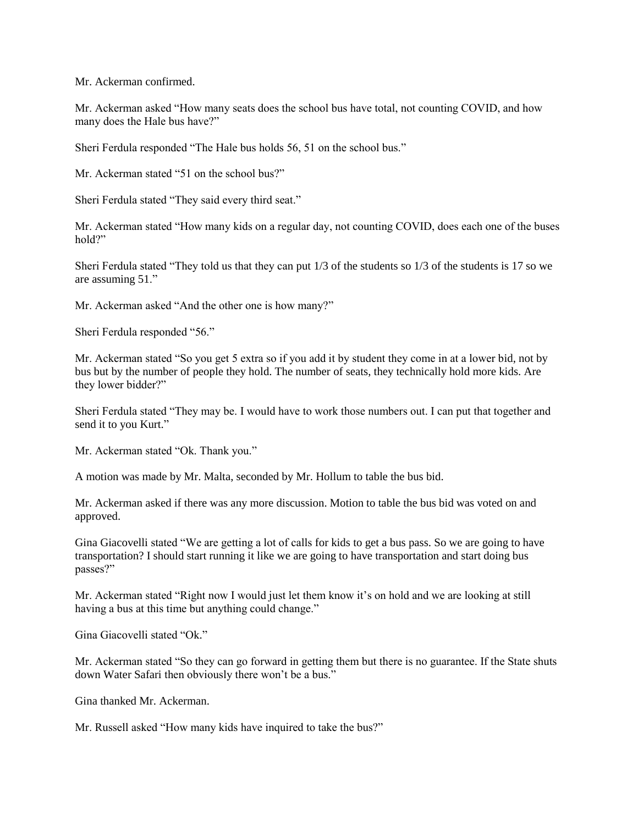Mr. Ackerman confirmed.

Mr. Ackerman asked "How many seats does the school bus have total, not counting COVID, and how many does the Hale bus have?"

Sheri Ferdula responded "The Hale bus holds 56, 51 on the school bus."

Mr. Ackerman stated "51 on the school bus?"

Sheri Ferdula stated "They said every third seat."

Mr. Ackerman stated "How many kids on a regular day, not counting COVID, does each one of the buses hold?"

Sheri Ferdula stated "They told us that they can put 1/3 of the students so 1/3 of the students is 17 so we are assuming 51."

Mr. Ackerman asked "And the other one is how many?"

Sheri Ferdula responded "56."

Mr. Ackerman stated "So you get 5 extra so if you add it by student they come in at a lower bid, not by bus but by the number of people they hold. The number of seats, they technically hold more kids. Are they lower bidder?"

Sheri Ferdula stated "They may be. I would have to work those numbers out. I can put that together and send it to you Kurt."

Mr. Ackerman stated "Ok. Thank you."

A motion was made by Mr. Malta, seconded by Mr. Hollum to table the bus bid.

Mr. Ackerman asked if there was any more discussion. Motion to table the bus bid was voted on and approved.

Gina Giacovelli stated "We are getting a lot of calls for kids to get a bus pass. So we are going to have transportation? I should start running it like we are going to have transportation and start doing bus passes?"

Mr. Ackerman stated "Right now I would just let them know it's on hold and we are looking at still having a bus at this time but anything could change."

Gina Giacovelli stated "Ok."

Mr. Ackerman stated "So they can go forward in getting them but there is no guarantee. If the State shuts down Water Safari then obviously there won't be a bus."

Gina thanked Mr. Ackerman.

Mr. Russell asked "How many kids have inquired to take the bus?"